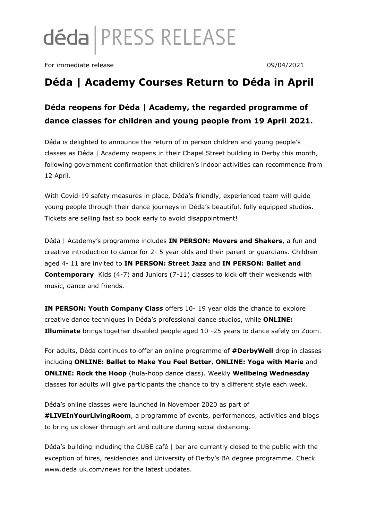# déda | PRESS RELEASE

For immediate release 09/04/2021

# **Déda | Academy Courses Return to Déda in April**

## **Déda reopens for Déda | Academy, the regarded programme of dance classes for children and young people from 19 April 2021.**

Déda is delighted to announce the return of in person children and young people's classes as Déda | Academy reopens in their Chapel Street building in Derby this month, following government confirmation that children's indoor activities can recommence from 12 April.

With Covid-19 safety measures in place, Déda's friendly, experienced team will guide young people through their dance journeys in Déda's beautiful, fully equipped studios. Tickets are selling fast so book early to avoid disappointment!

Déda | Academy's programme includes **IN PERSON: Movers and Shakers**, a fun and creative introduction to dance for 2- 5 year olds and their parent or guardians. Children aged 4- 11 are invited to **IN PERSON: Street Jazz** and **IN PERSON: Ballet and Contemporary** Kids (4-7) and Juniors (7-11) classes to kick off their weekends with music, dance and friends.

**IN PERSON: Youth Company Class** offers 10- 19 year olds the chance to explore creative dance techniques in Déda's professional dance studios, while **ONLINE: Illuminate** brings together disabled people aged 10 -25 years to dance safely on Zoom.

For adults, Déda continues to offer an online programme of **#DerbyWell** drop in classes including **ONLINE: Ballet to Make You Feel Better**, **ONLINE: Yoga with Marie** and **ONLINE: Rock the Hoop** (hula-hoop dance class). Weekly **Wellbeing Wednesday** classes for adults will give participants the chance to try a different style each week.

Déda's online classes were launched in November 2020 as part of **#LIVEInYourLivingRoom**, a programme of events, performances, activities and blogs to bring us closer through art and culture during social distancing.

Déda's building including the CUBE café | bar are currently closed to the public with the exception of hires, residencies and University of Derby's BA degree programme. Check www.deda.uk.com/news for the latest updates.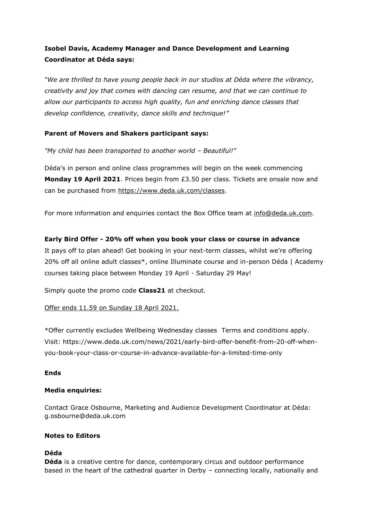## **Isobel Davis, Academy Manager and Dance Development and Learning Coordinator at Déda says:**

*"We are thrilled to have young people back in our studios at Déda where the vibrancy, creativity and joy that comes with dancing can resume, and that we can continue to allow our participants to access high quality, fun and enriching dance classes that develop confidence, creativity, dance skills and technique!"*

#### **Parent of Movers and Shakers participant says:**

*"My child has been transported to another world – Beautiful!"*

Déda's in person and online class programmes will begin on the week commencing **Monday 19 April 2021**. Prices begin from £3.50 per class. Tickets are onsale now and can be purchased from [https://www.deda.uk.com/classes.](https://www.deda.uk.com/classes)

For more information and enquiries contact the Box Office team at [info@deda.uk.com.](mailto:info@deda.uk.com)

#### **Early Bird Offer - 20% off when you book your class or course in advance**

It pays off to plan ahead! Get booking in your next-term classes, whilst we're offering 20% off all online adult classes\*, online Illuminate course and in-person Déda | Academy courses taking place between Monday 19 April - Saturday 29 May!

Simply quote the promo code **Class21** at checkout.

#### Offer ends 11.59 on Sunday 18 April 2021.

\*Offer currently excludes Wellbeing Wednesday classes Terms and conditions apply. Visit: https://www.deda.uk.com/news/2021/early-bird-offer-benefit-from-20-off-whenyou-book-your-class-or-course-in-advance-available-for-a-limited-time-only

#### **Ends**

#### **Media enquiries:**

Contact Grace Osbourne, Marketing and Audience Development Coordinator at Déda: g.osbourne@deda.uk.com

#### **Notes to Editors**

#### **Déda**

**Déda** is a creative centre for dance, contemporary circus and outdoor performance based in the heart of the cathedral quarter in Derby – connecting locally, nationally and